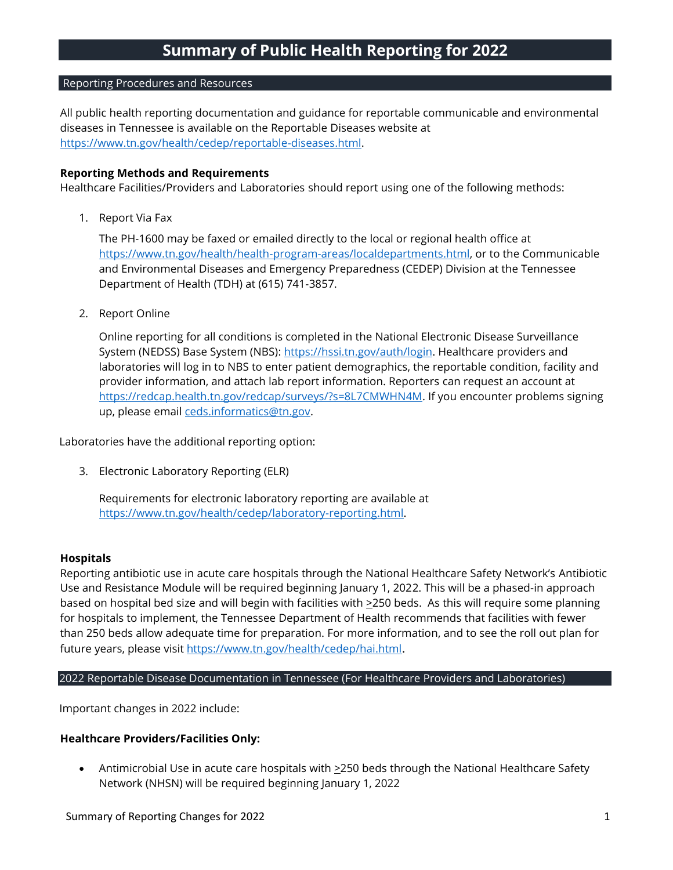# Reporting Procedures and Resources

All public health reporting documentation and guidance for reportable communicable and environmental diseases in Tennessee is available on the Reportable Diseases website at [https://www.tn.gov/health/cedep/reportable-diseases.html.](https://www.tn.gov/health/cedep/reportable-diseases.html)

## **Reporting Methods and Requirements**

Healthcare Facilities/Providers and Laboratories should report using one of the following methods:

1. Report Via Fax

The PH-1600 may be faxed or emailed directly to the local or regional health office at [https://www.tn.gov/health/health-program-areas/localdepartments.html,](https://www.tn.gov/health/health-program-areas/localdepartments.html) or to the Communicable and Environmental Diseases and Emergency Preparedness (CEDEP) Division at the Tennessee Department of Health (TDH) at (615) 741-3857.

2. Report Online

Online reporting for all conditions is completed in the National Electronic Disease Surveillance System (NEDSS) Base System (NBS): [https://hssi.tn.gov/auth/login.](https://hssi.tn.gov/auth/login) Healthcare providers and laboratories will log in to NBS to enter patient demographics, the reportable condition, facility and provider information, and attach lab report information. Reporters can request an account at [https://redcap.health.tn.gov/redcap/surveys/?s=8L7CMWHN4M.](https://redcap.health.tn.gov/redcap/surveys/?s=8L7CMWHN4M) If you encounter problems signing up, please email [ceds.informatics@tn.gov.](mailto:ceds.informatics@tn.gov)

Laboratories have the additional reporting option:

3. Electronic Laboratory Reporting (ELR)

Requirements for electronic laboratory reporting are available at [https://www.tn.gov/health/cedep/laboratory-reporting.html.](https://www.tn.gov/health/cedep/laboratory-reporting.html)

# **Hospitals**

Reporting antibiotic use in acute care hospitals through the National Healthcare Safety Network's Antibiotic Use and Resistance Module will be required beginning January 1, 2022. This will be a phased-in approach based on hospital bed size and will begin with facilities with  $\geq$ 250 beds. As this will require some planning for hospitals to implement, the Tennessee Department of Health recommends that facilities with fewer than 250 beds allow adequate time for preparation. For more information, and to see the roll out plan for future years, please visit <https://www.tn.gov/health/cedep/hai.html>.

#### 2022 Reportable Disease Documentation in Tennessee (For Healthcare Providers and Laboratories)

Important changes in 2022 include:

# **Healthcare Providers/Facilities Only:**

• Antimicrobial Use in acute care hospitals with >250 beds through the National Healthcare Safety Network (NHSN) will be required beginning January 1, 2022